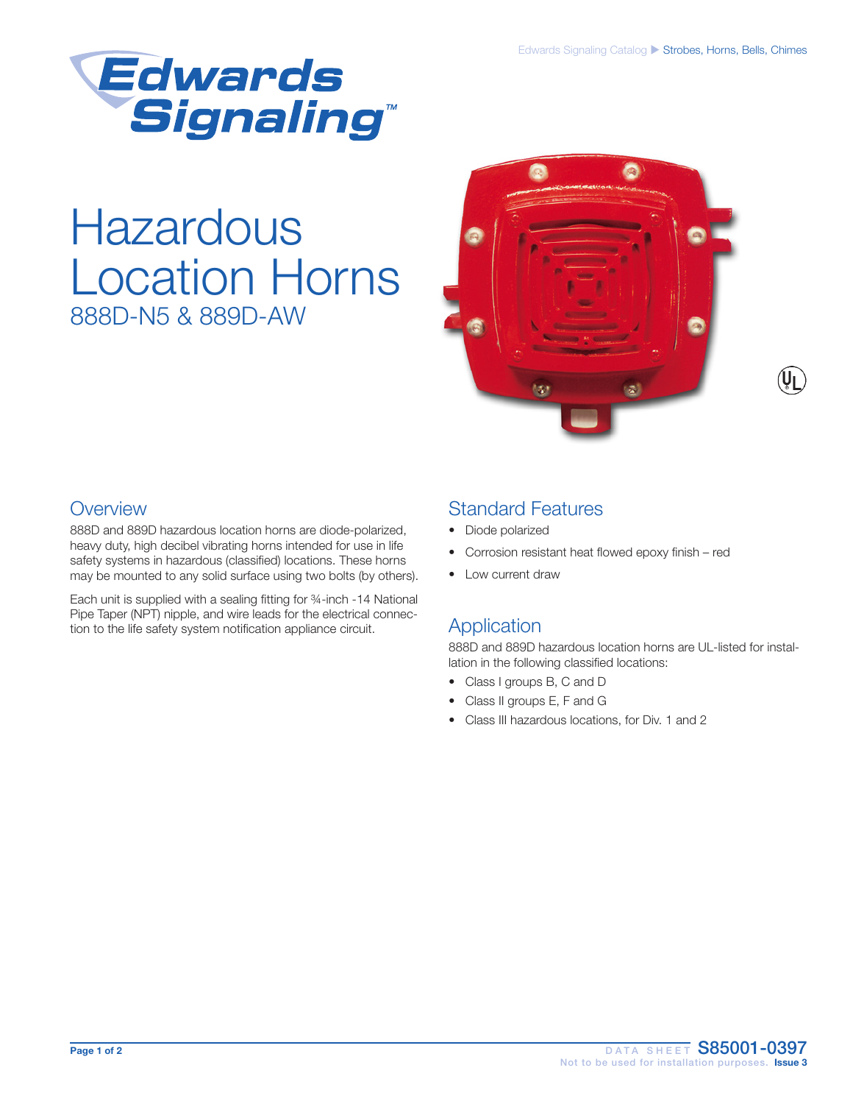

# Hazardous Location Horns 888D-N5 & 889D-AW



### **Overview**

888D and 889D hazardous location horns are diode-polarized, heavy duty, high decibel vibrating horns intended for use in life safety systems in hazardous (classified) locations. These horns may be mounted to any solid surface using two bolts (by others).

Each unit is supplied with a sealing fitting for ¾-inch -14 National Pipe Taper (NPT) nipple, and wire leads for the electrical connection to the life safety system notification appliance circuit.

### Standard Features

- Diode polarized
- Corrosion resistant heat flowed epoxy finish red
- Low current draw

### Application

888D and 889D hazardous location horns are UL-listed for installation in the following classified locations:

- Class I groups B, C and D
- Class II groups E, F and G
- Class III hazardous locations, for Div. 1 and 2